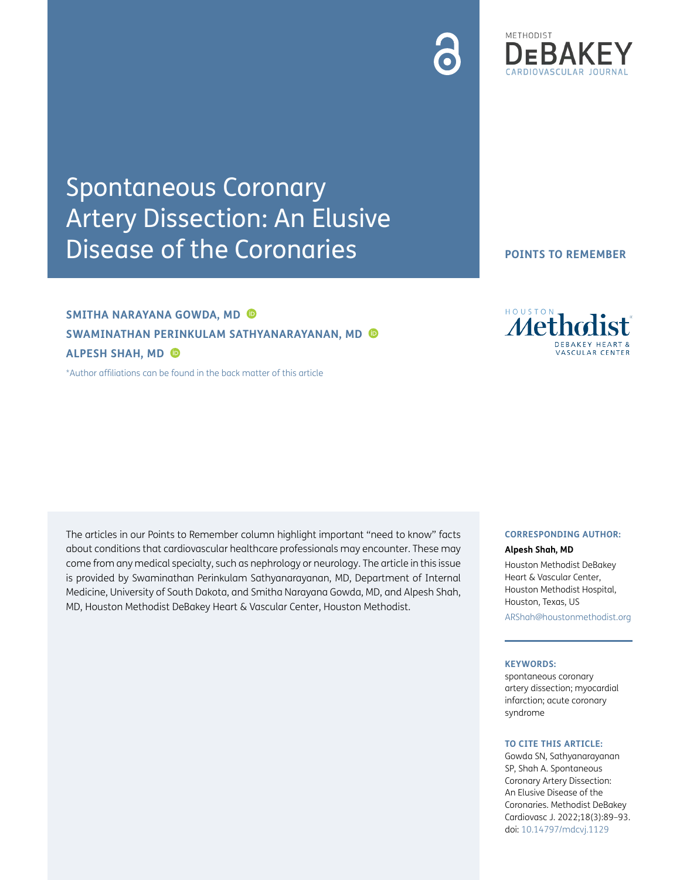# Spontaneous Coronary Artery Dissection: An Elusive Disease of the Coronaries

# **SMITHA NARAYANA GOWDA, MD SWAMINATHAN PERINKULAM SATHYANARAYANAN, MD ALPESH SHAH, MD**

[\\*Author affiliations can be found in the back matter of this article](#page-3-0)

The articles in our Points to Remember column highlight important "need to know" facts about conditions that cardiovascular healthcare professionals may encounter. These may come from any medical specialty, such as nephrology or neurology. The article in this issue is provided by Swaminathan Perinkulam Sathyanarayanan, MD, Department of Internal Medicine, University of South Dakota, and Smitha Narayana Gowda, MD, and Alpesh Shah, MD, Houston Methodist DeBakey Heart & Vascular Center, Houston Methodist.

## **CORRESPONDING AUTHOR:**

#### **Alpesh Shah, MD**

Houston Methodist DeBakey Heart & Vascular Center, Houston Methodist Hospital, Houston, Texas, US [ARShah@houstonmethodist.org](mailto:ARShah@houstonmethodist.org)

#### **KEYWORDS:**

spontaneous coronary artery dissection; myocardial infarction; acute coronary syndrome

#### **TO CITE THIS ARTICLE:**

Gowda SN, Sathyanarayanan SP, Shah A. Spontaneous Coronary Artery Dissection: An Elusive Disease of the Coronaries. Methodist DeBakey Cardiovasc J. 2022;18(3):89–93. doi: [10.14797/mdcvj.1129](http://doi.org/10.14797/mdcvj.1129)





**ASCULAR CENTER**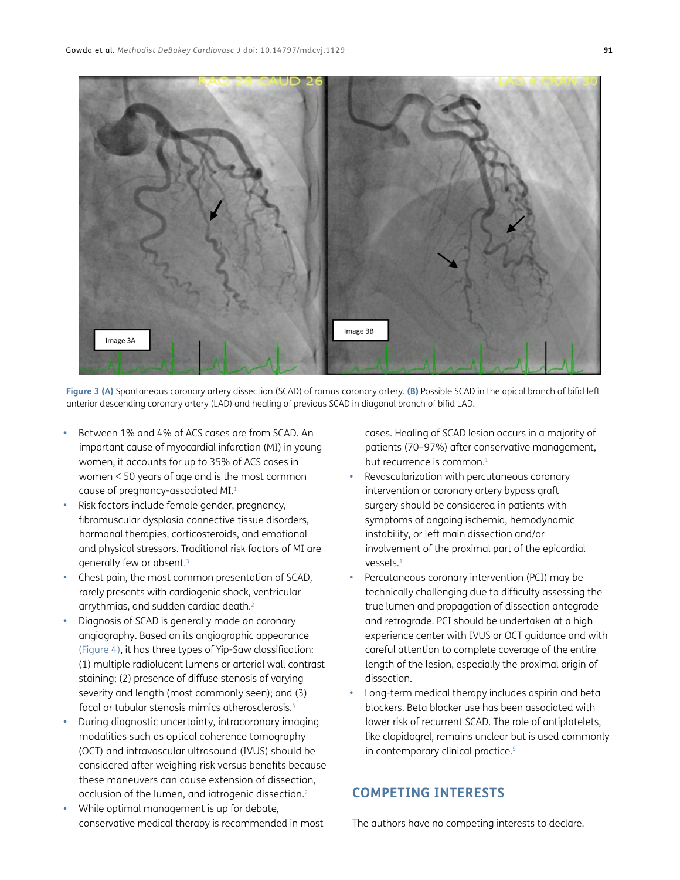

**Figure 3 (A)** Spontaneous coronary artery dissection (SCAD) of ramus coronary artery. **(B)** Possible SCAD in the apical branch of bifid left anterior descending coronary artery (LAD) and healing of previous SCAD in diagonal branch of bifid LAD.

- Between 1% and 4% of ACS cases are from SCAD. An important cause of myocardial infarction (MI) in young women, it accounts for up to 35% of ACS cases in women < 50 years of age and is the most common cause of pregnancy-associated MI.[1](#page-3-1)
- Risk factors include female gender, pregnancy, fibromuscular dysplasia connective tissue disorders, hormonal therapies, corticosteroids, and emotional and physical stressors. Traditional risk factors of MI are generally few or absent.[3](#page-3-2)
- Chest pain, the most common presentation of SCAD, rarely presents with cardiogenic shock, ventricular arrythmias, and sudden cardiac death[.2](#page-3-3)
- Diagnosis of SCAD is generally made on coronary angiography. Based on its angiographic appearance ([Figure 4](#page-3-4)), it has three types of Yip-Saw classification: (1) multiple radiolucent lumens or arterial wall contrast staining; (2) presence of diffuse stenosis of varying severity and length (most commonly seen); and (3) focal or tubular stenosis mimics atherosclerosis[.4](#page-3-5)
- During diagnostic uncertainty, intracoronary imaging modalities such as optical coherence tomography (OCT) and intravascular ultrasound (IVUS) should be considered after weighing risk versus benefits because these maneuvers can cause extension of dissection, occlusion of the lumen, and iatrogenic dissection.<sup>2</sup>
- While optimal management is up for debate, conservative medical therapy is recommended in most

cases. Healing of SCAD lesion occurs in a majority of patients (70–97%) after conservative management, but recurrence is common.<sup>[1](#page-3-1)</sup>

- Revascularization with percutaneous coronary intervention or coronary artery bypass graft surgery should be considered in patients with symptoms of ongoing ischemia, hemodynamic instability, or left main dissection and/or involvement of the proximal part of the epicardial vessels.[1](#page-3-1)
- Percutaneous coronary intervention (PCI) may be technically challenging due to difficulty assessing the true lumen and propagation of dissection antegrade and retrograde. PCI should be undertaken at a high experience center with IVUS or OCT guidance and with careful attention to complete coverage of the entire length of the lesion, especially the proximal origin of dissection.
- Long-term medical therapy includes aspirin and beta blockers. Beta blocker use has been associated with lower risk of recurrent SCAD. The role of antiplatelets, like clopidogrel, remains unclear but is used commonly in contemporary clinical practice.<sup>[5](#page-3-6)</sup>

### **COMPETING INTERESTS**

The authors have no competing interests to declare.